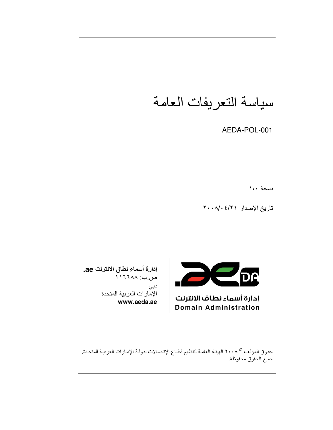# سياسة التعريفات العامة

AEDA-POL-001

نسخة ١،٠

تاريخ الإصدار ٢٠٠٨/٠٤/٢



إدارة أسماء نطاف الانترنت **Domain Administration** 

إدارة أسماء نطاق الانترنت ae. ص.ب: ١٦٦٨٨ دبی الإمارات العربية المتحدة www.aeda.ae

حقوق المؤلف © ٢٠٠٨ الهيئـة العامـة لتنظيم قطـاع الإتـصـالات بدولـة الإمـارات العربيـة المتحـدة. جميع الحقوق محفوظة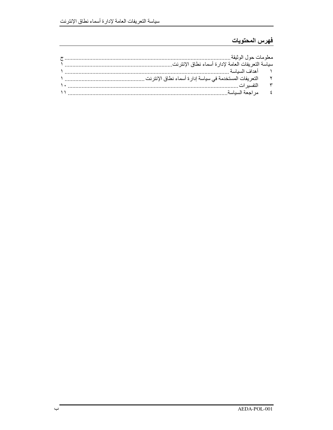## فهرس المحتويات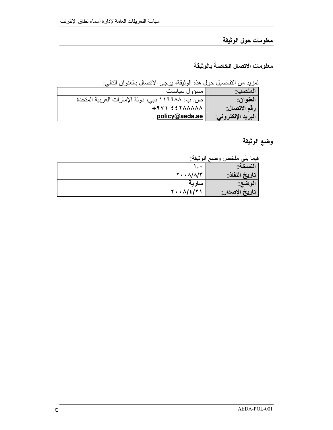## معلومات حول الوثيقة

### معلومات الاتصال الخاصة بالوثيقة

لمزيد من التفاصيل حول هذه الوثيقة، يرجى الاتصال بالعنوان التالي:

| المنصب:            | مسؤول سياسات                                    |
|--------------------|-------------------------------------------------|
| العنوان:           | ص. ب: ١١٦٦٨٨ دبي، دولة الإمارات العربية المتحدة |
| رقم الاتصال:       | $+9V$ $557AAAAA$                                |
| البريد الإلكتروني: | policy@aeda.ae                                  |

# وضع الوثيقة

فيما يلي ملخص وضع الوثيقة:

| - -<br>$\cdots$ | . .                                      |
|-----------------|------------------------------------------|
| سىد             | $\bullet$                                |
| تاريخ النفاذ:   | $Y \cdot \cdot \Lambda/\Lambda/\Lambda'$ |
| الوضع:          | ساريه                                    |
| تاريخ الإصدار : | $Y \cdot \cdot \Lambda / 2 / 7$          |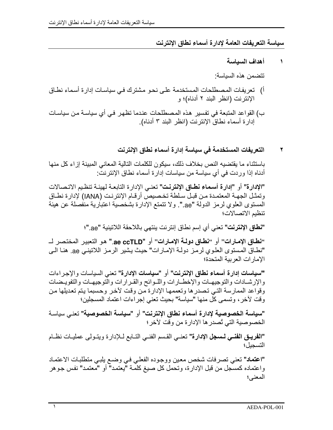سياسة التعريفات العامة لادارة أسماء نطاق الانترنت

#### أهداف السباسة  $\lambda$

تتضمن هذه السياسة

- أ) تعريفات المصطلحات المستخدمة على نحو مشترك في سياسات إدارة أسماء نطاق الإنترنت (انظر البند ٢ أدناه)؛ و
- إدارة أسماء نطاق الإنترنت (انظر البند ٣ أدناه).

#### التعريفات المستخدمة في سياسة إدارة أسماء نطاق الإنترنت ۲

باستثناء ما يقتضيه النص بخلاف ذلك، سيكون للكلمات التالية المعاني المبينة إز اء كل منها أدناه إذا وردت في أي سياسة من سياسات إدارة أسماء نطاق الإنترنت:

"الإدارة" أو "إدارة أسماء نطاق الإنترنت" تعني الإدارة التابعة لهيئة تنظيم الاتصالات وتمثل الجهـة المعتمـدة مـن قبـل سـلطة تخـصيص أرقـام الإنترنـت (IANA) لإدارة نطـاق المستوى العلوي لرمز الدولة "ae.". ولا تتمتع الإدارة بشخصية اعتبارية منفصلة عن هيئة تنظيم الاتصالات؛

**"نطاق الإنترنت"** تعني أي إسم نطاق إنترنت بنتهي باللاحقة اللاتبنية "ae."؛

"نطـاق الإمـارات" أو "نطـاق دولـة الإمـارات" أو "ae ccTLD." هو التعبير المختصر لــــــــــــــــــــــــــــــ "نطـاق المستوى العلوي لرمز دولـة الإمـارات" حيث يشير الرمـز اللاتينـي ae. هنـا الـي الإمارات العربية المتحدة؛

"سياسات إدارة أسماء نطاق الإنترنت" أو "سياسات الإدارة" تعني السياسات والإجر اءات والإرشيادات والتوجيهيات والإخطبارات واللبوائح والقرارات والتوجيهيات والتفوييضات وقواعد الممارسة التي تصدر ها وتعممها الإدارة من وقت لآخر وحسبما يتم تعديلها من وقت لآخر، وتسمى كل منها "سياسة" بحيث تعني إجراءات اعتماد المسجلين؛

"سياسة الخصوصية لإدارة أسماء نطاق الإنترنت" أو "سياسة الخصوصية" تعني سباسة الخصوصية التي تُصدر ها الإدارة من وقت لآخر ؛

"الفريـق الفنـي لـــسجل الإدارة" تعنــي القـسم الفنــي التــابع لــلإدارة ويتـولـي عمليــات نظــام التسجيل؛

"اعتماد" تعني تصرفات شخص معين ووجوده الفعلي في وضع يلبي متطلبات الاعتماد و اعتماده كمسجل من قبل الإدار ة، وتحمل كل صبغ كلَّمة "بعتمد" أو "معتمد" نفس جو هر المعنى؛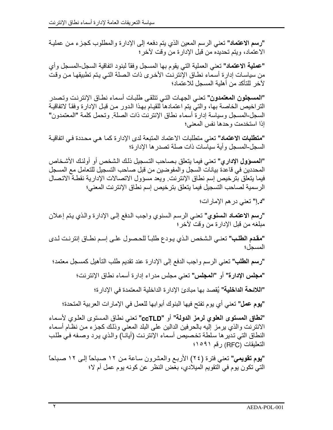"رسم الاعتماد" تعني الرسم المعين الذي يتم دفعه إلى الإدارة والمطلوب كجزء من عملية الاعتماد، ويتم تحديده من قبل الإدارة من وقت لأخر؛

**"عملية الاعتماد"** تعني العملية التي يقوم بها المسجل وفقاً لبنود اتفاقية السجل-المسجل وأي من سياسات إدارة أسماء نطاق الإنترنت الأخرى ذات الصلة التي يتم تطبيقها من وقت لآخر للتأكد من أهلبة المسجل للاعتماد؛

**"المسجلون المعتمدون"** تعني الجهات التي تتلقى طلبات أسماء نطـاق الإنترنت وتصدر التراخيص الخاصة بها، والتي يتم اعتمادها للقيام بهذا الدور من قبل الإدارة وفقاً لاتفاقية السجل-المسجل وسياسة إدارة أسماء نطاق الإنترنت ذات الصلة. وتحمل كلمة "المعتمدون" إذا استخدمت وحدها نفس المعنى؛

"م**تطلبات الاعتماد"** تعني متطلبات الاعتماد المتبعة لدى الإدار ة كما هي محددة في اتفاقيـة السجل-المسجل و أية سياسات ذات صلة تصدر ها الإدار ة؛

**"المسؤول الإدار ي"** تعني فيما يتعلق بصـاحب التسجيل ذلك الشخص أو أولئك الأشـخاص المحددين في قاعدة بيانات السجل والمفوضين من قبل صاحب التسجيل للتعامل مع المسجل فيما يتعلق بترخيص إسم نطاق الإنترنت ويعد مسؤول الاتصالات الإدارية نقطة الاتصال الرسمية لصاحب التسجيل فيما يتعلق بترخيص إسم نطاق الإنترنت المعنى؛

"د.إ" تعني در هم الإمارات؛

"رسم الاعتمـاد الـسنوي" تعنـى الرسم السنوي واجب الدفع إلـى الإدارة والذي يتم إعـلان مبلغه من قبل الإدار ة من وقت لآخر ؛

"مقدم الطلب" نعني الشخص الذي يودع طلبــًا للحـصول علــى إسم نطــاق إنترنـت لـدى المسحل؛

"رسم الطلب" تعني الرسم واجب الدفع إلى الإدارة عند تقديم طلب التأهيل كمسجل معتمد؛ **"مجلس الإدارة"** أو **"المجلس"** تعني مجلس مدراء إدارة أسماء نطاق الإنترنت؛ "اللائحة الداخلية" يُقصد بها مبادئ الإدارة الداخلية المعتمدة في الإدارة؛ **"يوم عمل"** تعني أي يوم تفتح فيها البنوك أبوابها للعمل في الإمارات العربية المتحدة؛

"نطاق المستوى العلوي لرمز الدولة" أو "ccTLD" تعني نطاق المستوى العلوي لأسماء الانترنت والذي برمز إليه بالحرفين الدالين على البلد المعنى وذلك كجزء من نظّام أسماء النطاق التي تدير ها سلطة تخصيص أسماء الإنترنت (أيانـا) والذي يرد وصـفه فـي طلب التعليقات (RFC) رقم ١٥٩١؛

**"يوم تقويمي"** تعني فترة (٢٤) الأربـع والعشرون ساعة من ١٢ صباحاً إلـى ١٢ صباحاً التي تكون يوم في التقويم الميلادي، بغض النظر عن كونه يوم عمل أم لا؛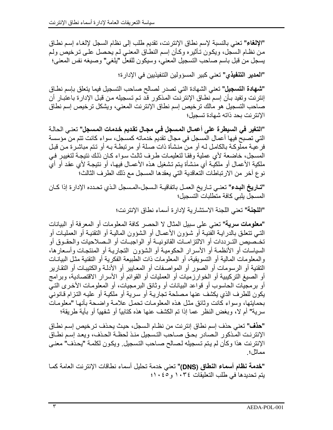"الإلغاء" تعني بالنسبة لإسم نطاق الإنترنت، تقديم طلب إلى نظام السجل لإلغاء إسم نطاق من نظـام الـسجل، ويكـون تـأثيره وكـأن إسم النطـاق المعنـي لـم يحـصـل علـى تـرخيص ولـم يسجل من قبل باسم صاحب التسجيل المعني، وسيكون للفعلّ "يلغي" وصيغه نفس المعنى؛

**"المدير التنفيذي"** تعني كبير المسؤولين التنفيذيين في الإدار ة؛

**"شهادة التسجيل"** تعني الشهادة التي تصدر لصـالح صـاحب التسجيل فيمـا يتعلق بـإسم نطـاق إنترنت وتفيد بـأن إسم نطـاق الإنترنت المذكور قد تم تسجيله من قبل الإدارة باعتبـار أن صاحب التسجيل هو مالك ترخيص إسم نطاق الإنترنت المعنى، ويشكل ترخيص إسم نطاق الإنتر نت بحد ذاته شهادة تسجيل؛

"التغير في السيطرة على أعمـال المسجل فـي مجـال تقديم خدمات المسجل" تعنـي الحالـة التي تصبح فيها أعمال المسجل في مجال تقديم خدماته كمسجل، سو اء كانت تتم من مؤسسة فر عيـة مملو كـة بالكامـل لـه أو مـن منشأة ذات صـلـة أو مر تبطـة بـه أو تـتم مباشـر ة مـن قبـل المسجل، خاضعة لأي عملية وفقـا لتعليمـات طـرف ثالث سواء كـان ذلك نتيجـة لتغيير فـي ملكية الأعمال أو ملكيـة أي منشأة يـتم تشغيل هذه الأعمـال فيهـا، أو نتيجـة لأي عقد أو أي نوع آخر من الارتباطات التعاقدية التي يعقدها المسجل مع ذلك الطرف الثالث؛

**"تــاريخ البـدء"** تعنــى تــاريخ العمـل باتفاقيــة الـسجل-المـسجل الـذي تحـدده الإدارة إذا كــان المسجل يلبي كافة متطلبات التسجيل؛

"اللجنة" تعني اللجنة الاستشار بة لادار ة أسماء نطاق الانتر نت؛

"معلومات سرية" تعني على سبيل المثال لا الحصر كافة المعلومات أو المعرفة أو البيانات النَّـى تتعلَّق بالدرايـة الفنيـة أو شـؤون الأعمـال أو الشؤون الماليـة أو التقنيـة أو العمليـات أو تخــْصبيص التــر ددات أو الالتز امــات القانو نيــة أو الو اجبــات أو الــصـلاحيات و الـحقــو ق أو السياسات أو الأنظمـة أو الأسـرار الحكوميـة أو الشؤون النجاريـة أو المنتجـات وأسـعار ها، والمعلومات المالية أو التسويقية، أو المعلومات ذات الطبيعة الفكرية أو التقنية مثل البيانـات النقنية أو الرسومات أو الصور أو المواصفات أو المعايير أو الأدلـة والكتيبـات أو النقـارير أو الصيغ التركيبية أو الخوارزميات أو العمليات أو القوائم أو الأسرار الاقتصادية، وبرامج أو بر مجيات الحاسوب أو قواعد البيانات أو وثائق البر مجيات، أو المعلومات الأخرى التبي يكون للطرف الذي يكشف عنها مصلحة تجاريـة أو سرية أو ملكيـة أو عليـه التـزام قـانونـي بحمايتها، وسواء كانت وثائق مثل هذه المعلومات تحمل علامة واضحة بأنها "معلومات سرية" أم لا، وبغض النظر عما إذا تم الكشف عنها هذه كتابيًا أو شفهيًا أو بأية طريقة؛

**"هذف"** تعني حذف إسم نطاق إنترنت من نظـام السجل، حيث يحذف ترخيص إسم نطـاق الإنترنت المذكور الصادر بحق صـاحب التسجيل منذ لحظـة الحذف، ويعد إسم نطـاق الإنترنت هذا وكأن لم يتم تسجيله لصالح صـاحب التسجيل. ويكون لكلمـة "يحذف" معنـى مماثل؛

**"خدمة نظام أسماء النطاق (DNS)"** تعني خدمة تحليل أسماء نطاقات الإنترنت العامة كمـا يتم تحديدها في طلب التعليقات ١٠٣٤ و ٢٠٤٥: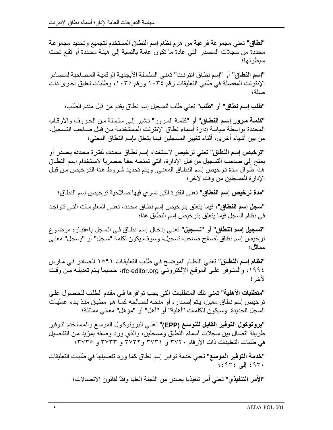**"نطاق"** تعني مجموعة فرعية من هرم نظام إسم النطاق المستخدم لتجميع وتحديد مجموعة محددة من سجلات المصدر التي عادة ما تكون عامة بالنسبة إلى هيئة محددة أو تقع تحت سيطر تها؛

"إ**سم النطاق"** أو "إسم نطـاق انترنت" تعنـى السلسلة الأبجديـة الرقميـة المـصـاحبـة لمـصـادر الإنترنت المفصلة في طلبي التعليقات رقم ١٠٣٤ ورقم ١٠٣٥، وطلبات تعليق أخرى ذات صلة؛

**"طلب إسم نطاق"** أو **"طلب"** تعني طلب لتسجيل إسم نطاق يقدم من قبل مقدم الطلب؛

"كلمة مرور إسم النطاق" أو "كلمـة المرور" تشير إلـى سلسلة مـن الحـروف والأرقـام، المحددة بواسطة سياسة إدارة أسماء نطاق الإنترنت المستخدمة من قبل صـاحب التسجيل، من بين أشياء أخر ي، أثناء تغيير المسجلين فيما يتعلق بإسم النطاق المعنى؛

**"ترخيص إسم النطاق" تعن**ى ترخيص لاستخدام إسم نطـاق محدد، لفتر ة محددة يصدر ٍ أو يمنح إلى صـاحب التسجيل من قبل الإدار ة، التي تمنحـه حقـًا حصـريـًا لاستخدام إسـم النطــاق هذا طوال مدة ترخيص إسم النطاق المعنى ويتم تحديد شروط هذا الترخيص من قبل الإدارة للمسجلين من وقت لاخر ؛

**"مدة ترخيص إسم النطاق"** تعني الفترة التي تسري فيها صلاحية ترخيص إسم النطاق؛

**"سجل إسم النطاق"،** فيما يتعلّق بترخيص إسم نطــاق محدد، تعنــى المعلومــات التــى تتواجد في نظام السجل فيما يتعلق بترخيص إسم النطاق هذا؛

**"تسجيل إسم النطاق"** أو **"تسجيل"** تعني إدخال إسم نطـاق فـي السجل باعتبـار ه موضـو ع ترخيص إسم نطاق لصالح صاحب تسجيل، وسوف يكون لكلمة "سجل" أو "يسجل" معنـى مماثا ؛

"نظام إسم النطاق" تعني النظام الموضح في طلب التعليقات ١٥٩١ الصادر في مارس ١٩٩٤، والمتوفر علـى الموقـع الإلكترونـي <u>rfc-editor.org</u>، حسبما يـتم تعديلـه مـن وقت لأخر ؛

**"متطلبات الأهلية"** تعني تلك المتطلبات التي يجب توافر ها في مقدم الطلب للحصول على ترخيص إسم نطاق معين، يتم إصداره أو منحه لصالحه كما هو مطبق منذ بدء عمليات السجل الجديدة. وسيكون للكلمات "أهلية" أو "أهل" أو "مؤهل" معاني مماثلة؛

**"بروتوكول التوفير القابل للتوسع (EPP)"** تعني البروتوكول الموسع والمستخدم لتوفير طريقة اتصال بين سجلات أسماء النطاق ومسجلين، والذي ورد وصفه بمزيد من التفصيل في طلبات النعليقات ذات الأرقام ٣٧٢٠ و ٣٧٣٦ و ٣٧٣٣ و ٣٧٣٣ و ٣٧٣٥:

**"خدمة التوفير الموسع"** تعني خدمة توفير إسم نطاق كما ورد تفصيلها في طلبات التعليقات ٤٩٣٠ إلى ٤٩٣٤؛

"الأمر التنفيذي" تعني أمر تنفيذيا يصدر من اللجنة العليا وفقاً لقانون الاتصالات؛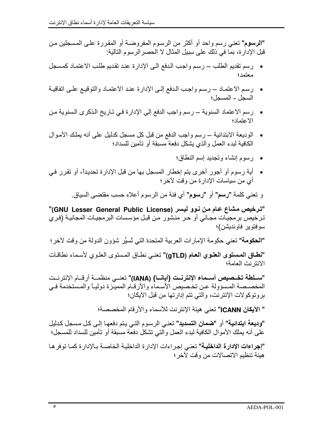"الرسوم" تعني رسم واحد أو أكثر من الرسوم المفروضية أو المقررة على المسجلين من قبل الإدارة، بما في ذلك على سبيل المثال لا الحصر الرسوم التالية:

- رسم تقديم الطلب ـــ رسم واجب الدفع الى الإدارة عند تقديم طلب الاعتمـاد كمسجل معتمد؛
- رسم الاعتمـاد ــ رسم واجب الـدفع إلـى الإدارة عنـد الاعتمـاد والتوقيـع علـى اتفاقيـة السجل - المسجل؛
- رسم الاعتماد السنوية ـــ رسم واجب الدفع إلى الإدارة في تـاريخ الذكرى السنوية من الاعتماد؛
- الوديعة الابتدائية ـــ رسم واجب الدفع من قبل كل مسجل كدليل على أنه يملك الأموال الكافية لبدء العمل والذي يشكل دفعة مسبقة أو تأمين للسداد؛
	- رسوم إنشاء وتجديد إسم النطاق؛
- أية رسوم أو أجور أخرى يتم إخطار المسجل بها من قبل الإدارة تحديداً، أو تقرر في أي من سياسات الإدارة من وقت لأخر؛

و تعني كلمة "رسم" أو "رسوم" أي فئة من الرسوم أعلاه حسب مقتضىي السياق.

"ترخيص مشاع عام من نوو ليسر (GNU Lesser General Public License)" ترخيص برمجيات مجاني أو حر منشور من قبل مؤسسات البرمجيات المجانية (فري سوفتوير فاونديشن)؛

"الحكومة" تعني حكومة الإمارات العربية المتحدة التي تُسيِّر شؤون الدولة من وقت لأخر ؛

"نطاق الممسوى العلوي العام (gTLD)" تعني نطاق المستوى العلوي لأسماء نطاقات الانتر نت العامة؛

"سـلطة تخـصيص أسـماء الإنترنـت (أيانــا) (IANA)" تعنــ منظمــة أرقــام الإنترنـت المخصصة المسؤولة عن تخصيص الأسماء والأرقـام المميـزة دوليـًّا والمستخدمة فـي بروتوكولات الإنترنت، والتي تتم إدارتها من قبل الأيكان؛

" الآيكان ICANN" تعني هيئة الإنترنت للأسماء والأرقام المخصصة؛

"وديعة ابتدائية" أو "ضمان التسديد" تعني الرسوم التي يتم دفعها إلى كل مسجل كدليل على أنه يملك الأموال الكافية لبدء العمل وآلتي تشكل دفعة مسبقة أو تأمين للسداد للمسجل؛

**"إجراءات الإدارة الداخلية"** تعني إجراءات الإدارة الداخلية الخاصـة بـالإدارة كمـا توفر هـا هيئة تنظيم الاتصالات من وقت لآخر ؛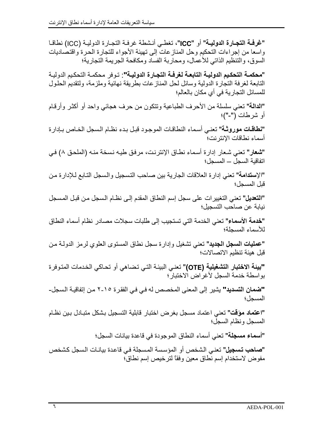"غرفية التجبارة الدوليية" أو "ICC"، تغطي أنشطة غرفية التجبارة الدوليية (ICC) نطاقيا واسعا من إجراءات التحكيم وحل المناز عات إلى تهيئة الأجواء للتجارة الحرة واقتصاديات السوق، والتنظيم الذاتي للأعمال، ومحاربة الفساد ومكافحة الجريمة التجارية؛

"محكمــة التحكـيم الدوليــة التابـعـة لـغرفــة التجـارة الدوليــة": تـوفر محكمــة التحكـيم الدوليــة النابعة لغرفة التجارة الدولية وسائل لحل المناز عات بطريقة نهائية وملزمة، ولتقديم الحلول للمسائل التجارية في أي مكان بالعالم؛

"الدالة" تعني سلسلة من الأحرف الطباعية وتتكون من حرف هجائي واحد أو أكثر وأرقام أو شرطات ("-")؛

**"نطاقات موروثـة"** تعنـى أسماء النطاقـات الموجـود قبـل بـدء نظـام الـسجل الخـاص بـإدارة أسماء نطاقات الانتر نت؛

"شعار" تعني شعار إدارة أسماء نطاق الإنترنت، مرفق طيه نسخة منه (الملحق ٨) في انفاقية السجل — المسجل؛

"الإستدامة" تعني إدارة العلاقات الجارية بين صاحب التسجيل والسجل التـابع لـلإدارة من قبل المسجل؛

"ا**لتعديل"** تعني التغيير ات على سجل إسم النطاق المقدم إلى نظـام الـسجل مـن قبـل المسجل نيابة عن صاحب التسجيل؛

**"خدمة الأسماء"** تعني الخدمة التي تستجيب إلى طلبات سجلات مصـادر نظام أسماء النطاق للأسماء المسجلة؛

**"عمليات السجل الجديد"** تعني تشغيل وإدارة سجل نطاق المستوى العلوي لرمز الدولـة من قبل هيئة تنظيم الاتصـالات؛

**"بيئة الاختبار التشغيلية (OTE)"** تعنـى البيئـة التـى تضـاهـى أو تحـاكـى الخدمات المتـوفرة بواسطة خدمة السجل لأغراض الاختبار؛

**"ضمان التسديد"** يشير إلى المعنى المخصص له في في الفقرة ١٥-٢ من إتفاقية السجل-المسجل؛

"ا**عتماد مؤقت"** تعني اعتماد مسجل بغرض اختبار قابلية التسجيل بشكل متبـادل بـين نظـام المسجل ونظام السجل؛

**"أسماء مسجلة"** تعني أسماء النطاق الموجودة في قاعدة بيانات السجل؛

**"صاحب تسجيل"** تعني الشخص أو المؤسسة المسجلة في قاعدة بيانـات السجل كشخص مفوض لاستخدام إسم نطاق معين وفقاً لترخيص إسم نطاق؛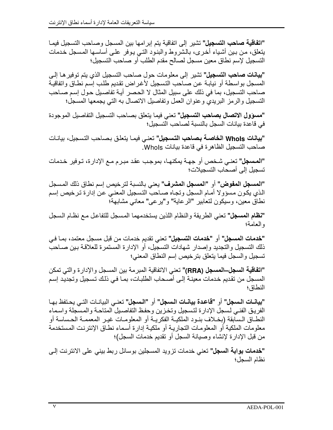"ا**تفاقية صاحب التسجيل"** تشير ٍ إلى اتفاقية بنم إبر إمها بين المسجل وصـاحب التسجيل فيمـا يتعلق، من بـين أشـياء أخـرى، بـالـشروط والبنـود التـي يـوفر علــي أسـاســها المـسـجل خـدمـات التسجيل لإسم نطاق معين مسجل لصىالح مقدم الطلب أو صباحب التسجيل؛

**"بيانات صاحب التسجيل"** تشير إلى معلومات حول صـاحب التسجيل الذي يتم توفير هـا إلـي المسجل بواسطة أو نيابة عن صـاحب التسجيل لأغراض تقديم طلب إسم نطـاق واتفاقيـة صاحب التسجيل، بما في ذلك على سبيل المثال لا الحصر أيــة تفاصـيل حـول إسم صــاحب التسجيل والرمز البريدي وعنوان العمل وتفاصيل الاتصال به التي يجمعها المسجل؛

"مسؤول الاتصال بصاحب التسجيل" تعني فيما يتعلق بصاحب التسجيل التفاصيل الموجودة في قاعدة بيانات السجل بالنسبة لصاحب التسجيل؛

**"بيانات Whols الخاصة بصاحب التسجيل"** تعني فيمـا يتعلق بـصاحب التسجيل، بيانـات صاحب التسجيل الظاهرة في فاعدة بيانات Whols.

**"المسجل"** تعني شخص أو جهـة يمكنهـا، بموجب عقد مبـرم مـع الإدارة، تـوفير خـدمات تسجيل إلى أصحاب التسجيلات؛

"ا**لمسجل المفوض"** أو "ا**لمسجل المشرف"** يعني بالنسبة لترخيص إسم نطاق ذلك المسجل الذي يكون مسؤولا أمـام السجل وتجـاه صـاحب التسجيل المعنـي عن إدارة ترخيص إسم نطاقُ معين، وسيكون لتعابير "الرعاية" و"يرعى" معاني مشابهةً؛

**"نظام المسجل"** تعني الطريقة والنظام اللذين يستخدمهما المسجل للتفاعل مع نظام السجل والعامة؛

**"خدمات المسجل"** أو **"خدمات التسجيل"** تعني تقديم خدمات من قبل مسجل معتمد، بمـا فـي ذلك التسجيل والتجديد وإصدار شهادات التسجيل، أو الإدار ة المستمر ة للعلاقـة بـين صـاحب تسجيل والسجل فيما يتعلق بترخيص إسم النطاق المعنى؛

"ا**تفاقية السجل—المسجل (RRA)"** تعني الاتفاقية المبرمة بين المسجل والإدارة والتي تمكن المسجل من تقديم خدمات معينــة إلـى أصــحاب الطلبــات، بمــا فــى ذلك تسجيل وتجديد إسم النطاق؛

"بيانـات الـسجل" أو "قاعدة بيانـات الـسجل" أو "الـسجل" تعنـي الببانـات التـي بـحـتفظ بـهـا الفريق الفني لسجل الإدارة لتسجيل وتخزين وحفظ التفاصيل المتاحة والمسجلة واسماء النطــاق الـسابقة (بخــلاف بنــود الملكيــة الفكريــة أو المعلومــات غيــر المعممــة الـحـساسة أو معلومات الملكية أو المعلومات التجاريـة أو ملكيـة إدارـة أسماء نطـاق الإنترنت المستخدمة من قبل الإدارة لإنشاء وصبانة السجل أو نقديم خدمات السجل)؛

**"خدمات بوابة السجل"** تعني خدمات تزويد المسجلين بوسائل ربط بيني على الانترنت إلى نظام السجل؛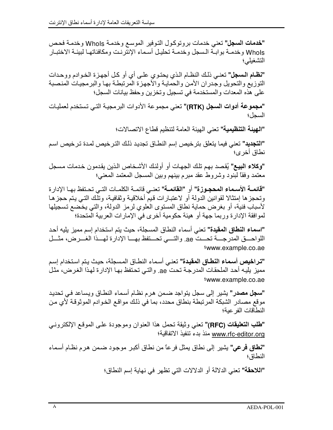**"خدمات السجل"** تعني خدمات بر وتوكول التوفير الموسع وخدمـة WhoIs وخدمـة فحص Whols وخدمــة بوابــة الـسجل وخدمــة تحليـل أسـماء الإنترنـت ومكافئاتهـا لبيئــة الاختبــار التشغيلي؛

**"نظـام الـسجل"** تعنـى ذلك النظـام الـذي يحتـوي علـى أي أو كـل أجهـزة الخـوادم ووحـدات النوزيع والنحويل وجدران الأمن والحماية والأجهزة المرتبطة بها والبرمجيات المنصبة على هذه المعدات والمستخدمة في تسجيل وتخزين وحفظ بيانات السجل؛

"**مجموعة أدوات السجل (RTK)"** تعني مجموعة الأدوات البرمجيـة التـي تستخدم لعمليـات السجل؛

"الهيئة التنظيمية" تعني الهيئة العامة لتنظيم قطاع الاتصالات؛

**"التجديد"** تعني فيما يتعلق بترخيص إسم النطـاق تجديد ذلك الترخيص لمدة ترخيص اسم نطاق أخر ي؛

**"وكلاء البيـع"** يُقصد بهم تلك الجهات أو أولئك الأشـخاص الذين يقدمون خدمات مسجل معتمد وفقاً لبنود وشروط عقد مبرم ببنهم وببن المسجل المعتمد المعنى؛

"قائمــة الأسـمـاء المحجـوزة" أو "القائمــة" تعنــى قائمــة الكلمــات التــى تحـتفظ بـهـا الإدار ة وتحجز ها إمتثالا لقوانين الدولة أو لاعتبارات فيمّ أخلاقية وثقافية، وتلُّك التـي يتم حجز هـا لَّاسبابٌ فنية، أو بغرَّض حماية نطاق المستوى العلوي لرمز الدولة، والتي يخضع تسجيلها لموافقة الإدارة وربما جهة أو هيئة حكومية أخرى في الإمارات العربية المتحدة؛

**"اسماء النطاق المقيدة"** تعني أسماء النطاق المسجلة، حيث يتم استخدام إسم مميز يليه أحد اللواحـــق المدرجــــة تحـــت ae. والتــــى تحـــتفظ بهـــا الإدارة لهـــذا الغـــرض، مثـــل www.example.co.ae

**"تراخيص أسماء النطاق المقيدة"** تعني أسماء النطـاق المسجلة، حيث يتم استخدام إسم مميز يليـه أحد الملحقـات المدرجـة تحت ae. والتـى تحتفظ بـهـا الإدارـة لـهـذا الـغـرـض، مثـل www.example.co.ae

**"سجل مصدر"** يشير إلى سجل يتواجد ضمن هرم نظام أسماء النطاق ويساعد في تحديد موقع مصـادر الشبكة المرتبطة بنطاق محدد، بما في ذلك مواقـع الخـوادم الموثوقـة لأي مـن النطاقات الفر عية؛

**"طلب التعليقات (RFC)"** تعني وثيقة تحمل هذا العنوان وموجودة على الموقع الإلكتروني www.rfc-editor.org منذ بدء تنفيذ الاتفاقية؛

**"نطاق فرعي"** يشير إلى نطاق يمثل فرعاً من نطاق أكبر موجود ضمن هرم نظام أسماء النطاق؛

"ا**للاحقة"** تعني الدلالة أو الدلالات التي تظهر في نهاية إسم النطاق؛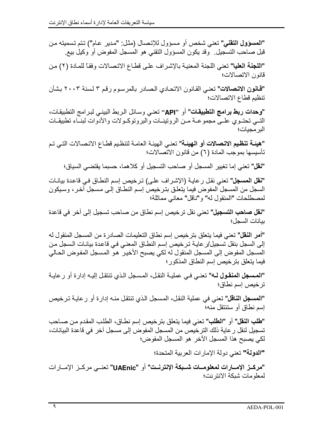"المسؤول التقني" تعني شخص أو مسؤول للإتصال (مثل: "مدير عام") تتم تسميته من قبل صاحب التسجيل وقد يكون المسؤول النقني هو المسجل المفوض أو وكيل بيع

"اللجنة العليا" تعني اللجنة المعنية بالإشراف على قطاع الاتصالات وفقاً للمادة (٢) من قانون الاتصالات؛

**"قـانون الاتـصـالات"** تعنـى القـانون الاتحـادي الـصـادر بـالمرسـوم رـقم ٣ لسنـة ٢٠٠٣ بـشأن تنظيم قطاع الاتصالات؛

**"وحدات ربط برامج التطبيقات"** أو "API" تعني وسائل الربط البيني لبرامج التطبيقات، التسي تحتـوي علـى مجموعــة مــن الروتينــات والبروتوكــولات والأدوات لبنــاء تطبيقــات البر مجبات؛

**"هيئـة تنظيم الاتـصالات أو الـهيئـة"** تعنـى الـهيئـة الـعامـة لتنظـيم قطـاع الاتـصـالات التـي تـم تأسيسها بموجب المادة (٦) من قانون الاتصالات؛

**"نقل"** تعني إما تغيير المسجل أو صـاحب التسجيل أو كلاهمـا، حسبمـا يقتضـي السياق؛

**"نقل المسجل"** تعني نقل ر عايـة (الإشـراف علـي) تر خيص إسم النطـاق فـي قاعدة بيانـات السجل من المسجل المفوض فيما يتعلق بترخيص إسم النطاق إلى مسجل آخر، وسيكون لمصطلحات "المنقول له" و"ناقل" معاني مماثلة؛

**"نقل صاحب التسجيل"** تعني نقل تر خيص إسم نطاق من صـاحب تسجيل إلى آخر في قاعدة ببانات السجل؛

**"أمر النقل"** تعني فيما يتعلّق بتر خيص إسم نطاق التعليمات الصادر ة من المسجل المنقول له إلى السجل بنقل تسجيل/ر عايـة تـرخيص إسم النطـاق المعنـى فـى قاعدة بيانـات الـسجل مـن المسجل المفوض إلى المسجل المنقول له لكي يصبح الأخير هو المسجل المفوض الحالي فيما يتعلق بتر خيص إسم النطاق المذكور ؛

تر خيص إسم نطاق؛

**"المسجل الناقل"** تعني في عملية النقل، المسجل الذي تنتقل منـه إدار ة أو رِ عايـة تر خيص إسم نطاق أو سنننقل منه؛

**"طلب النقل"** أو **"الطلب"** تعني فيما يتعلق بترخيص إسم نطـاق، الطلب المقدم من صـاحب تسجيل لنقل ر عاية ذلك التر خيص من المسجل المفوض إلى مسجل آخر في قاعدة البيانات، لكي يصبح هذا المسجل الآخر هو المسجل المفوض؛

"الدولة" تعني دولة الإمار ات العر بية المتحدة؛

**"مركــز الإمـــارات لمعلومـــات شــبكة الإنترنـــت" أو "UAEnic" تعنـــى مركــز الإمـــارات** لمعلومات شبكة الانترنت؛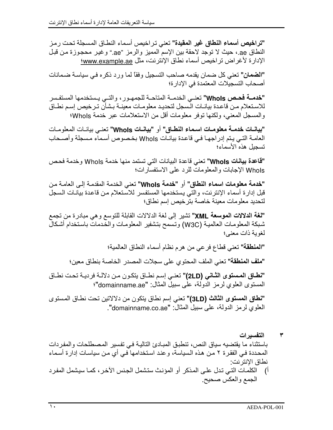**"تراخيص أسماء النطاق غير المقيدة"** تعني تر اخيص أسماء النطـاق المسجلة تحت ر مز النطاق ae.، حيث لا توجد لاحقة بين الإسم المميز والرمز "ae." وغير محجوزة من قبل الإدارة لأغراض تراخيص أسماء نطاق الإنترنت، مثل www.example.ae:

"ا**لضمان"** تعني كل ضمان بقدمه صاحب التسجيل وفقاً لما ورد ذكر ه في سياسة ضمانات أصحاب التسجيلات المعتمدة في الادار ة؛

"خدمــة فحـص Whols" تعنــى الخدمــة المتاحــة للجمهـور ، والتــى يـستخدمها المستفـسر للاستعلام من قاعدة بيانات السجل لتحديد معلومات معينـة بـشأن تـرخيص إسم نطـاق والمسجل المعنى، ولكنها توفر معلومات أقل من الاستعلامات عبر خدمة Whols؛

"بيانيات خدمية معلوميات اسبماء النطباق" أو "بيانيات Whols" تعني بيانيات المعلوميات العامـة التـي يـتم إدراجهـا فـي قاعدة بيانـات WhoIs بخصوص أسماء مسجلة وأصـحاب تسجبل هذه الأسماء؛

**"قاعدة بيانات Whols"** تعني قاعدة البيانات التي تستمد منها خدمة Whols وخدمة فحص Whols الإجابات والمعلومات للرد على الاستفسارات؛

"خدمة معلومات اسماء النطاق" أو "خدمة Whols" تعني الخدمة المقدمة إلى العامة من قبل إدارة أسماء الإنترنت، والتي يستخدمها المستفسر للاستعلام من قاعدة بيانات السجل لتحديد معلومات معينة خاصة بترخيص إسم نطاق؛

**"لغة الدلالات الموسعة XML"** تشير إلى لغة الدلالات القابلة للتوسع وهي مبادرة من تجمع شبكة المعلومات العالمية (W3C) وتسمح بتشفير المعلومات والخدمات باستخدام أشكال لغوبة ذات معنى؛

"المنطقة" تعني قطاع فرعي من هرم نظام أسماء النطاق العالمية؛

"ملف المنطقة" تعني الملف المحتوى على سجلات المصدر الخاصة بنطاق معين؛

"نطاق المستوى الثاني (2LD)" تعني إسم نطاق يتكون من دلالة فردية تحت نطاق المستوى العلوي لرمز الدولة، على سبيل المثال: "domainname.ae"؛

**"نطاق المستوى الثالث (3LD)"** تعني إسم نطاق يتكون من دلالاتين تحت نطـاق المستوى العلوي لرمز الدولة، على سبيل المثال: "domainname.co.ae".

التفسيرات ۳ باستثناء ما يقتضيه سياق النص، تنطبق المبادئ التالية في تفسير المصطلحات والمفردات المحددة في الفقرة ٢ من هذه السياسة، وعند استخدامها ّفي أي من سياسات إدارة أسماء نطاق الانتر نت: الكلَّماتُ التي تدل على المذكر أو المؤنث ستشمل الجنس الآخر ، كمـا سيشمل المفرد  $\sqrt{ }$ الجمع والعكس صحيح